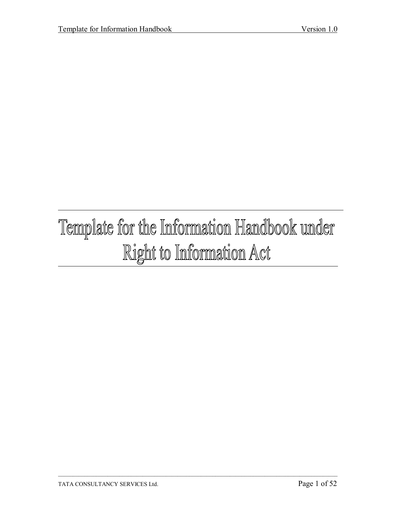# Template for the Information Handbook under Right to Information Act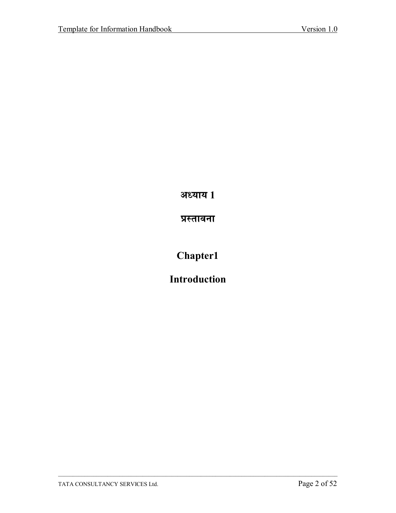अध्याय 1

प्रस्तावना

Chapter1

**Introduction**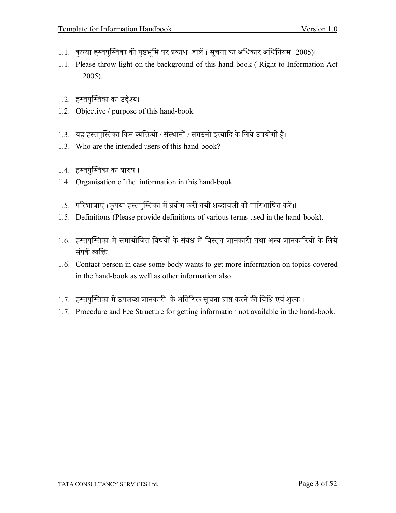- 1.1. कृपया ह्स्तपुस्तिका की पृष्ठभूमि पर प्रकाश डालें ( सूचना का अधिकार अधिनियम -2005)।
- 1.1. Please throw light on the background of this hand-book (Right to Information Act)  $-2005$ ).
- 1.2. ह्स्तुपस्तिका का उद्देश्य।
- 1.2. Objective / purpose of this hand-book
- 1.3. यह ह्स्तपुस्तिका किन व्यक्तियों / संस्थानों / संगठनों इत्यादि के लिये उपयोगी है।
- 1.3. Who are the intended users of this hand-book?
- 1.4. हस्तपुस्तिका का प्रारुप ।
- 1.4. Organisation of the information in this hand-book
- 1.5. परिभाषाएं (कृपया ह्स्तपुस्तिका में प्रयोग करी गयी शब्दावली को पारिभाषित करें)।
- 1.5. Definitions (Please provide definitions of various terms used in the hand-book).
- 1.6. ह्स्तपुस्तिका में समायोजित विषयों के संबंध में विस्तृत जानकारी तथा अन्य जानकारियों के लिये संपर्क व्यक्ति।
- 1.6. Contact person in case some body wants to get more information on topics covered in the hand-book as well as other information also.
- 1.7. ह्स्तपुस्तिका में उपलब्ध जानकारी के अतिरिक्त सुचना प्राप्त करने की विधि एवं शुल्क ।
- 1.7. Procedure and Fee Structure for getting information not available in the hand-book.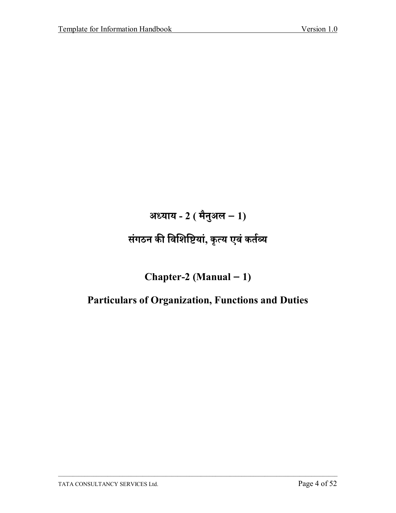अध्याय -  $2$  ( मैनुअल - 1)

# संगठन की विशिष्टियां, कृत्य एवं कर्तव्य

Chapter-2 (Manual  $-1$ )

### **Particulars of Organization, Functions and Duties**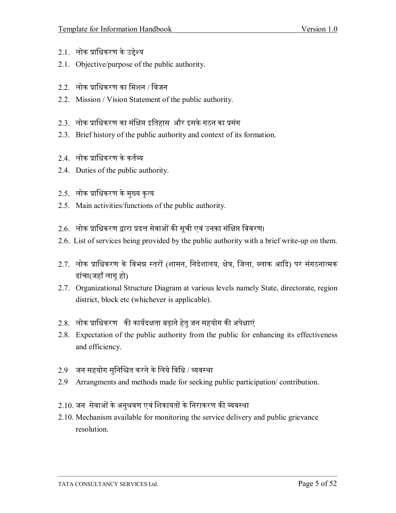- 2.1. लोक प्राधिकरण के उद्देश्य
- 2.1. Objective/purpose of the public authority.
- 2.2. लोक प्राधिकरण का मिशन / विजन
- 2.2. Mission / Vision Statement of the public authority.
- 2.3. लोक प्राधिकरण का संक्षिप्त इतिहास और इसके गठन का प्रसंग
- 2.3. Brief history of the public authority and context of its formation.
- 2 4 लोक प्राधिकरण के कर्तव्य
- 2.4. Duties of the public authority.
- 2.5. लोक प्राधिकरण के मुख्य कृत्य
- 2.5. Main activities/functions of the public authority.
- 2.6. लोक प्राधिकरण द्वारा प्रदत्त सेवाओं की सची एवं उनका संक्षिप्त विवरण।
- 2.6. List of services being provided by the public authority with a brief write-up on them.
- 2.7. लोक प्राधिकरण के विभन्न स्तरों (शासन, निदेशालय, क्षेत्र, जिला, ब्लाक आदि) पर संगठनात्मक ढांचा(जहाँ लागू हो)
- 2.7. Organizational Structure Diagram at various levels namely State, directorate, region district, block etc (whichever is applicable).
- 2.8. लोक प्राधिकरण की कार्यदक्षता बढ़ाने हेतु जन सहयोग की अपेक्षाएं
- 2.8. Expectation of the public authority from the public for enhancing its effectiveness and efficiency.
- 2.9 जन सहयोग सुनिश्चित करने के लिये विधि / व्यवस्था
- 2.9 Arrangments and methods made for seeking public participation/contribution.
- 2.10. जन सेवाओं के अनुश्रवण एवं शिकायतों के निराकरण की व्यवस्था
- 2.10. Mechanism available for monitoring the service delivery and public grievance resolution.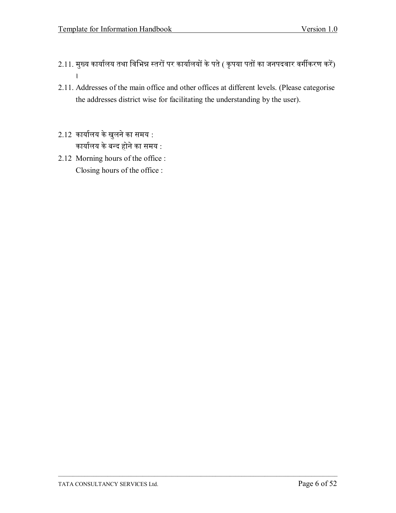- 2.11. मुख्य कार्यालय तथा विभिन्न स्तरों पर कार्यालयों के पते ( कृपया पतों का जनपदवार वर्गीकरण करें)  $\mathbf{I}$
- 2.11. Addresses of the main office and other offices at different levels. (Please categorise the addresses district wise for facilitating the understanding by the user).
- 2.12 कार्यालय के खुलने का समय : कार्यालय के बन्द होने का समय :
- 2.12 Morning hours of the office : Closing hours of the office :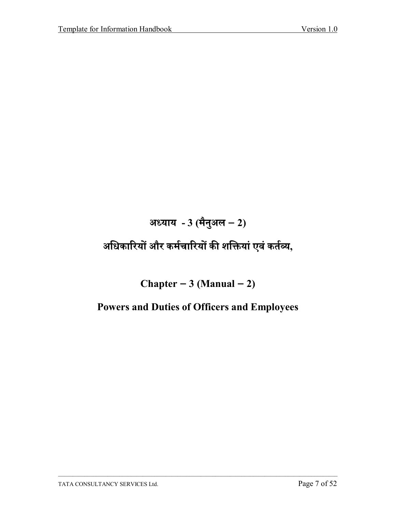# अध्याय -  $3$  (मैनुअल - 2)

# अधिकारियों और कर्मचारियों की शक्तियां एवं कर्तव्य,

### Chapter  $-3$  (Manual  $-2$ )

#### **Powers and Duties of Officers and Employees**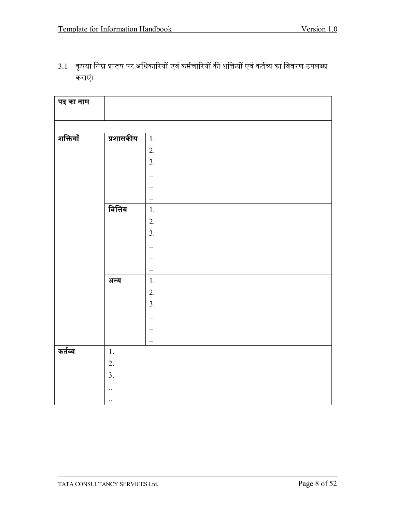| पद का नाम |           |           |
|-----------|-----------|-----------|
|           |           |           |
| शक्तियाँ  | प्रशासकीय | 1.        |
|           |           |           |
|           |           | 2.        |
|           |           | 3.        |
|           |           | $\ddotsc$ |
|           |           | $\ldots$  |
|           |           | $\ddotsc$ |
|           | वित्तिय   | 1.        |
|           |           | 2.        |
|           |           | 3.        |
|           |           | $\ddotsc$ |
|           |           | $\ddotsc$ |
|           |           | $\ddotsc$ |
|           | अन्य      | 1.        |
|           |           | 2.        |
|           |           | 3.        |
|           |           | $\ddotsc$ |
|           |           | $\cdot$ . |
|           |           | $\ddotsc$ |
| कर्तव्य   | 1.        |           |
|           | 2.        |           |
|           | 3.        |           |
|           | $\ddotsc$ |           |
|           |           |           |
|           | $\ldots$  |           |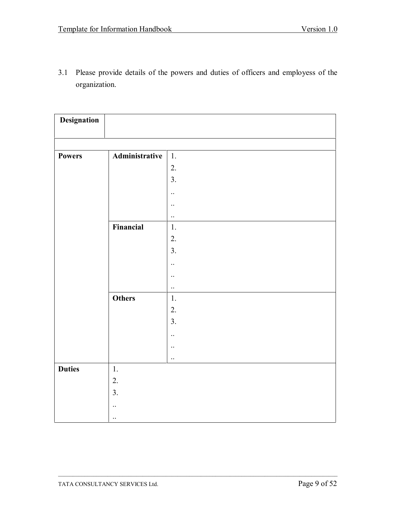3.1 Please provide details of the powers and duties of officers and employess of the organization.

| Designation   |                |                 |
|---------------|----------------|-----------------|
|               |                |                 |
| <b>Powers</b> | Administrative | $\mathbf{1}$ .  |
|               |                | 2.              |
|               |                | 3.              |
|               |                | $\ddotsc$       |
|               |                | $\ddotsc$       |
|               |                | $\ddotsc$       |
|               | Financial      | 1.              |
|               |                | 2.              |
|               |                | 3.              |
|               |                | $\ddotsc$       |
|               |                |                 |
|               |                | $\ddotsc$       |
|               | <b>Others</b>  | $\ddotsc$<br>1. |
|               |                | 2.              |
|               |                |                 |
|               |                | 3.              |
|               |                | $\ddotsc$       |
|               |                | $\ddotsc$       |
|               |                | $\ddotsc$       |
| <b>Duties</b> | $1.$           |                 |
|               | 2.             |                 |
|               | 3.             |                 |
|               | $\ddotsc$      |                 |
|               | $\ddotsc$      |                 |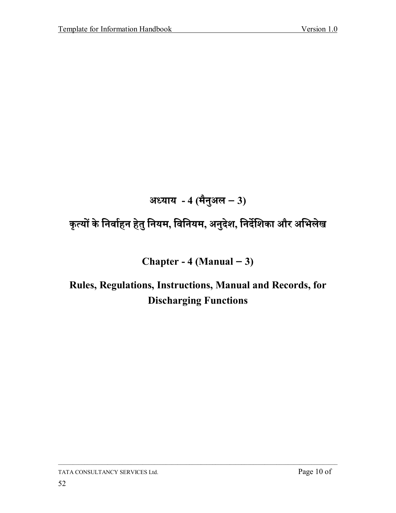# अध्याय - 4 (मैनुअल – 3)

# कृत्यों के निर्वाहन हेतु नियम, विनियम, अनुदेश, निर्देशिका और अभिलेख

### Chapter -  $4$  (Manual  $-3$ )

# Rules, Regulations, Instructions, Manual and Records, for **Discharging Functions**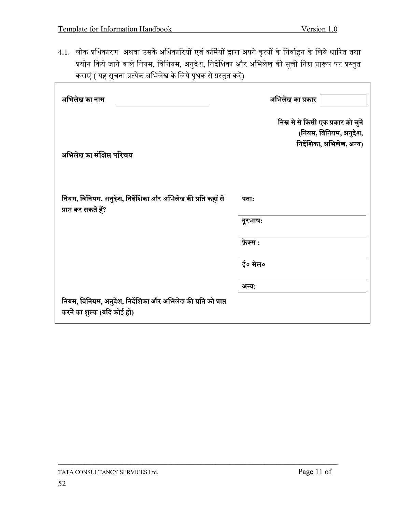4.1. लोक प्रधिकारण अथवा उसके अधिकारियों एवं कर्मियों द्वारा अपने कृत्यों के निर्वाहन के लिये धारित तथा प्रयोग किये जाने वाले नियम, विनियम, अनुदेश, निर्देशिका और अभिलेख की सूची निम्न प्रारूप पर प्रस्तुत कराएं ( यह सूचना प्रत्येक अभिलेख के लिये पृथक से प्रस्तुत करें)

| अभिलेख का नाम                                                                                | अभिलेख का प्रकार                                                                          |
|----------------------------------------------------------------------------------------------|-------------------------------------------------------------------------------------------|
| अभिलेख का संक्षिप्त परिचय                                                                    | निम्न मे से किसी एक प्रकार को चुने<br>(नियम, विनियम, अनुदेश,<br>निर्देशिका, अभिलेख, अन्य) |
| नियम, विनियम, अनुदेश, निर्देशिका और अभिलेख की प्रति कहाँ से<br>प्राप्त कर सकते हैं?          | पताः                                                                                      |
|                                                                                              | दूरभाष:<br>फ़ेक्स :                                                                       |
|                                                                                              | ई० मेल०                                                                                   |
|                                                                                              | अन्य:                                                                                     |
| नियम, विनियम, अनुदेश, निर्देशिका और अभिलेख की प्रति को प्राप्त<br>करने का शुल्क (यदि कोई हो) |                                                                                           |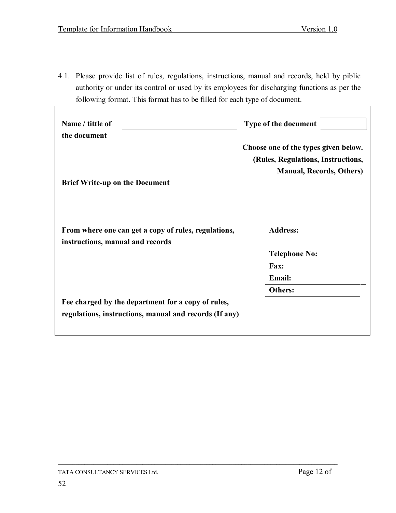4.1. Please provide list of rules, regulations, instructions, manual and records, held by piblic authority or under its control or used by its employees for discharging functions as per the following format. This format has to be filled for each type of document.

| Name / tittle of<br>the document                                                                             | Type of the document                                                                                          |
|--------------------------------------------------------------------------------------------------------------|---------------------------------------------------------------------------------------------------------------|
|                                                                                                              | Choose one of the types given below.<br>(Rules, Regulations, Instructions,<br><b>Manual, Records, Others)</b> |
| <b>Brief Write-up on the Document</b>                                                                        |                                                                                                               |
| From where one can get a copy of rules, regulations,<br>instructions, manual and records                     | <b>Address:</b>                                                                                               |
|                                                                                                              | <b>Telephone No:</b>                                                                                          |
|                                                                                                              | Fax:                                                                                                          |
|                                                                                                              | <b>Email:</b>                                                                                                 |
|                                                                                                              | <b>Others:</b>                                                                                                |
| Fee charged by the department for a copy of rules,<br>regulations, instructions, manual and records (If any) |                                                                                                               |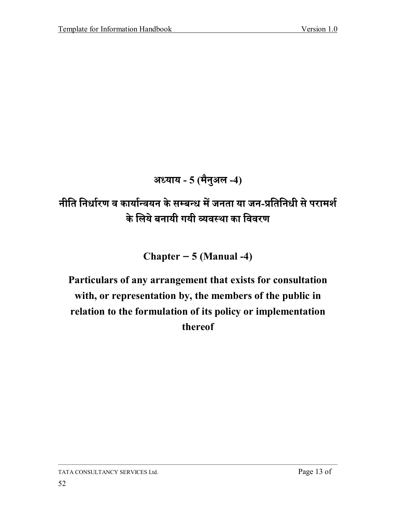# अध्याय - 5 (मैनुअल -4)

# नीति निर्धारण व कार्यान्वयन के सम्बन्ध में जनता या जन-प्रतिनिधी से परामर्श के लिये बनायी गयी व्यवस्था का विवरण

### Chapter  $-5$  (Manual -4)

# Particulars of any arrangement that exists for consultation with, or representation by, the members of the public in relation to the formulation of its policy or implementation thereof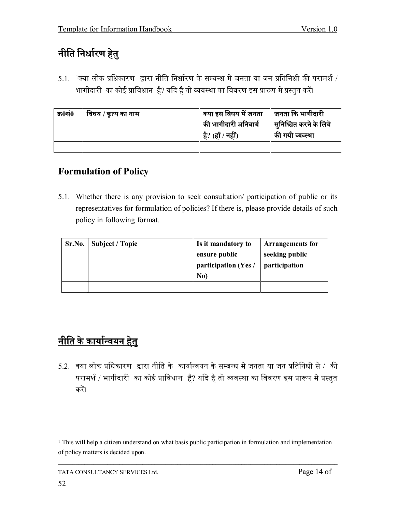# <u>नीति निर्धारण हेतु</u>

 $5.1$ .  $^{1}$ क्या लोक प्रधिकारण द्वारा नीति निर्धारण के सम्बन्ध मे जनता या जन प्रतिनिधी की परामर्श / भागीदारी का कोई प्राविधान है? यदि है तो व्यवस्था का विवरण इस प्रारूप मे प्रस्तुत करें।

| क्र0सं0 | विषय / कृत्य का नाम | क्या इस विषय में जनता | जनता कि भागीदारी       |
|---------|---------------------|-----------------------|------------------------|
|         |                     | की भागीदारी अनिवार्य  | सुनिश्चित करने के लिये |
|         |                     | है? (हाँ / नहीं)      | की गयी व्यक्था         |
|         |                     |                       |                        |

#### **Formulation of Policy**

5.1. Whether there is any provision to seek consultation/ participation of public or its representatives for formulation of policies? If there is, please provide details of such policy in following format.

| Sr.No. | Subject / Topic | Is it mandatory to<br>ensure public<br>participation (Yes /<br>No) | <b>Arrangements for</b><br>seeking public<br>participation |
|--------|-----------------|--------------------------------------------------------------------|------------------------------------------------------------|
|        |                 |                                                                    |                                                            |

# <u>नीति के कार्यान्वयन हेतु</u>

 $5.2$ . क्या लोक प्रधिकारण द्वारा नीति के कार्यान्वयन के सम्बन्ध मे जनता या जन प्रतिनिधी से / की परामर्श / भागीदारी का कोई प्राविधान है? यदि है तो व्यवस्था का विवरण इस प्रारूप मे प्रस्तुत करें।

<sup>&</sup>lt;sup>1</sup> This will help a citizen understand on what basis public participation in formulation and implementation of policy matters is decided upon.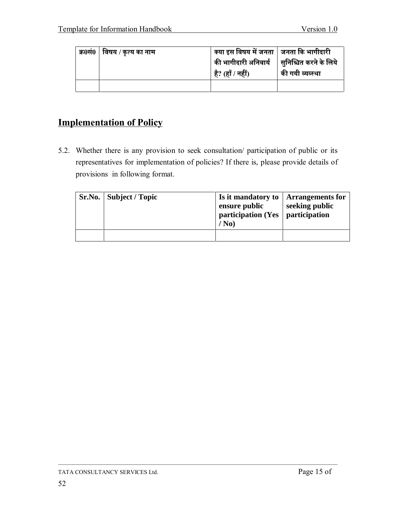| क्र0सं0   विषय / कृत्य का नाम | क्या इस विषय में जनता │ जनता कि भागीदारी         |                  |
|-------------------------------|--------------------------------------------------|------------------|
|                               | की भागीदारी अनिवार्य      सुनिश्चित करने के लिये |                  |
|                               | है? (हाँ / नहीं)                                 | की गयी व्यव्स्था |
|                               |                                                  |                  |

#### **Implementation of Policy**

5.2. Whether there is any provision to seek consultation/ participation of public or its representatives for implementation of policies? If there is, please provide details of provisions in following format.

|  | Sr.No.   Subject / Topic | Is it mandatory to   Arrangements for<br>ensure public<br>participation (Yes $\vert$ participation<br>$/$ No) | seeking public |
|--|--------------------------|---------------------------------------------------------------------------------------------------------------|----------------|
|  |                          |                                                                                                               |                |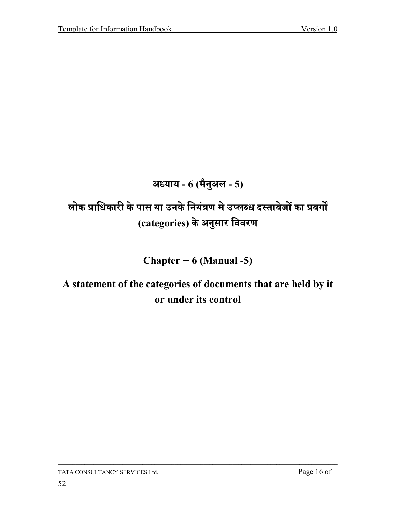### अध्याय - 6 (मैनुअल - 5)

# लोक प्राधिकारी के पास या उनके नियंत्रण मे उप्लब्ध दस्तावेजों का प्रवर्गों (categories) के अनुसार विवरण

#### Chapter  $-6$  (Manual -5)

# A statement of the categories of documents that are held by it or under its control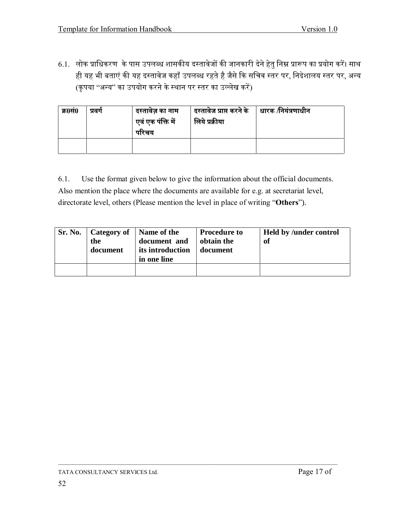6.1. लोक प्राधिकरण के पास उपलब्ध शासकीय दस्तावेजों की जानकारी देने हेतु निम्न प्रारूप का प्रयोग करें। साथ ही यह भी बताएं की यह दस्तावेज कहाँ उपलब्ध रहते है जैसे कि सचिव स्तर पर, निदेशालय स्तर पर, अन्य (कृपया ''अन्य'' का उपयोग करने के स्थान पर स्तर का उल्लेख करें)

| क्र0सं0 | प्रवग | दस्तावेज़ का नाम<br>एवं एक पंक्ति में<br>परिचय | दस्तावेज प्राप्त करने के<br>लिये प्रक्रीया | ∣ धारक  ⁄नियंत्रणाधीन |
|---------|-------|------------------------------------------------|--------------------------------------------|-----------------------|
|         |       |                                                |                                            |                       |

Use the format given below to give the information about the official documents.  $6.1.$ Also mention the place where the documents are available for e.g. at secretariat level, directorate level, others (Please mention the level in place of writing "Others").

| Sr. No. | Category of<br>the<br>document | Name of the<br>document and<br>its introduction<br>in one line | <b>Procedure to</b><br>obtain the<br>document | <b>Held by /under control</b><br>of |
|---------|--------------------------------|----------------------------------------------------------------|-----------------------------------------------|-------------------------------------|
|         |                                |                                                                |                                               |                                     |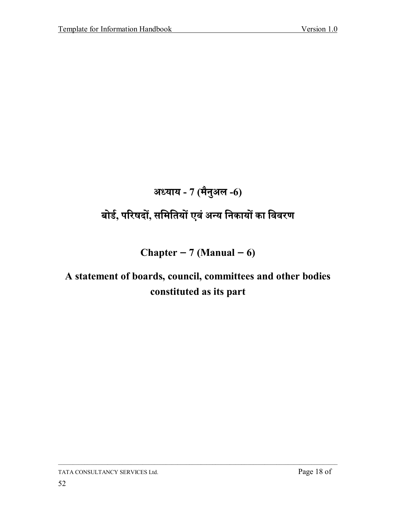# अध्याय - 7 (मैनुअल -6)

# बोर्ड, परिषदों, समितियों एवं अन्य निकायों का विवरण

### Chapter  $-7$  (Manual  $-6$ )

# A statement of boards, council, committees and other bodies constituted as its part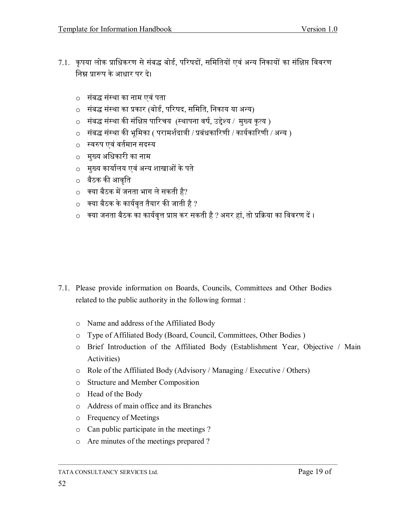- 7.1. कृपया लोक प्राधिकरण से संबद्ध बोर्ड, परिषदों, समितियों एवं अन्य निकायों का संक्षिप्त विवरण निम्न प्रारूप के आधार पर दे।
	- संबद्ध संस्था का नाम एवं पता  $\Omega$
	- संबद्ध संस्था का प्रकार (बोर्ड, परिषद, समिति, निकाय या अन्य)  $\circ$
	- संबद्ध संस्था की संक्षिप्त पारिचय (स्थापना वर्ष, उद्देश्य / मुख्य कृत्य )  $\circ$
	- संबद्ध संस्था की भूमिका ( परामर्शदात्री / प्रबंधकारिणी / कार्यकारिणी / अन्य )  $\circ$
	- स्वरुप एवं वर्तमान सदस्य  $\bigcap$
	- मुख्य अधिकारी का नाम  $\circ$
	- मुख्य कार्यालय एवं अन्य शाखाओं के पते  $\circ$
	- बैठक की आवृति
	- $\circ$  क्या बैठक में जनता भाग ले सकती है?
	- क्या बैठक के कार्यवृत तैयार की जाती है ?  $\circ$
	- क्या जनता बैठक का कार्यवृत्त प्राप्त कर सकती है ? अगर हां, तो प्रक्रिया का विवरण दें ।  $\circ$

- 7.1. Please provide information on Boards, Councils, Committees and Other Bodies related to the public authority in the following format:
	- Name and address of the Affiliated Body  $\circ$
	- Type of Affiliated Body (Board, Council, Committees, Other Bodies)  $\circ$
	- o Brief Introduction of the Affiliated Body (Establishment Year, Objective / Main Activities)
	- o Role of the Affiliated Body (Advisory / Managing / Executive / Others)
	- o Structure and Member Composition
	- o Head of the Body
	- o Address of main office and its Branches
	- o Frequency of Meetings
	- Can public participate in the meetings?  $\circ$
	- o Are minutes of the meetings prepared?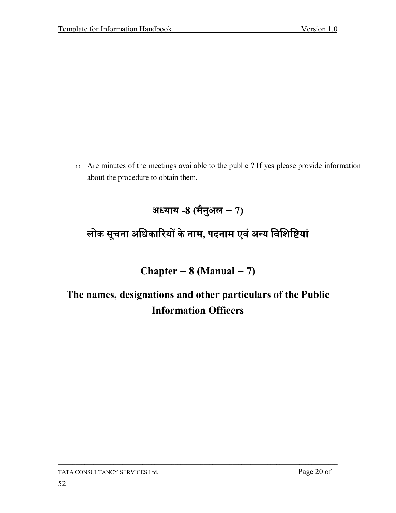o Are minutes of the meetings available to the public ? If yes please provide information about the procedure to obtain them.

# लोक सूचना अधिकारियों के नाम, पदनाम एवं अन्य विशिष्टियां

### Chapter –  $8$  (Manual – 7)

# The names, designations and other particulars of the Public **Information Officers**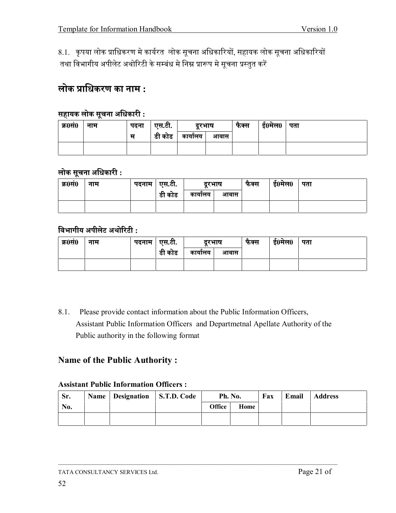8.1. कृपया लोक प्राधिकरण मे कार्यरत लोक सूचना अधिकारियों, सहायक लोक सूचना अधिकारियों तथा विभागीय अपीलेट अथोरिटी के सम्बंध मे निम्न प्रारूप मे सूचना प्रस्तुत करें

#### $\overline{\text{w}}$  लोक प्राधिकरण का नाम :

#### $\frac{1}{100}$  सहायक लोक सूचना अधिकारी :

| क्र0सं0 | नाम | पदना | एस.टी. | दरभाष  |      | फैक्स | ई0मेल0 | पता |
|---------|-----|------|--------|--------|------|-------|--------|-----|
|         |     | म    | डी कोड | कायालय | आवास |       |        |     |
|         |     |      |        |        |      |       |        |     |

#### $\overline{\textbf{w}}$  लोक सूचना अधिकारी :

| क्र0सं0 | नाम | पदनाम | एस.टी.       | दरभाष  |      | फक्स | ई0मेल0 | पता |
|---------|-----|-------|--------------|--------|------|------|--------|-----|
|         |     |       | a.<br>डी कोड | कायालय | आवास |      |        |     |
|         |     |       |              |        |      |      |        |     |

#### **̀ûóĂÝĄõ ËðĄøċå Ëëďăöå˝ :**

| क्र0सं0 | नाम | पदनाम ∣ एस.टी. |               | दरभाष  |      | फक्स | ई0मेल0 | पता |
|---------|-----|----------------|---------------|--------|------|------|--------|-----|
|         |     |                | ے م<br>डा काड | कायालय | आवास |      |        |     |
|         |     |                |               |        |      |      |        |     |

8.1. Please provide contact information about the Public Information Officers, Assistant Public Information Officers and Departmetnal Apellate Authority of the Public authority in the following format

#### **Name of the Public Authority :**

#### **Assistant Public Information Officers :**

| Sr. | Name   Designation   S.T.D. Code | Ph. No.       |      | Fax | Email | <b>Address</b> |
|-----|----------------------------------|---------------|------|-----|-------|----------------|
| No. |                                  | <b>Office</b> | Home |     |       |                |
|     |                                  |               |      |     |       |                |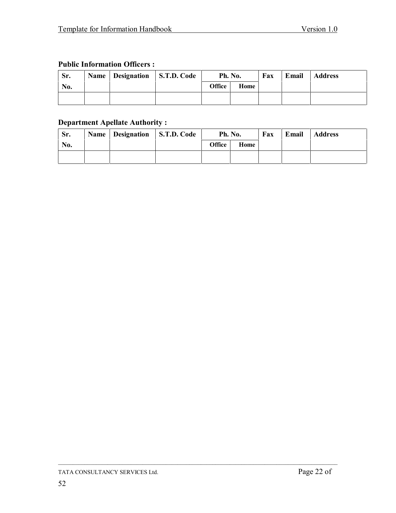#### **Public Information Officers :**

| Sr. | Name   Designation   S.T.D. Code | Ph. No.       |      | Fax | Email | <b>Address</b> |
|-----|----------------------------------|---------------|------|-----|-------|----------------|
| No. |                                  | <b>Office</b> | Home |     |       |                |
|     |                                  |               |      |     |       |                |

#### **Department Apellate Authority :**

| Sr. | Name   Designation   S.T.D. Code | Ph. No. |      | Fax | Email | <b>Address</b> |
|-----|----------------------------------|---------|------|-----|-------|----------------|
| No. |                                  | Office  | Home |     |       |                |
|     |                                  |         |      |     |       |                |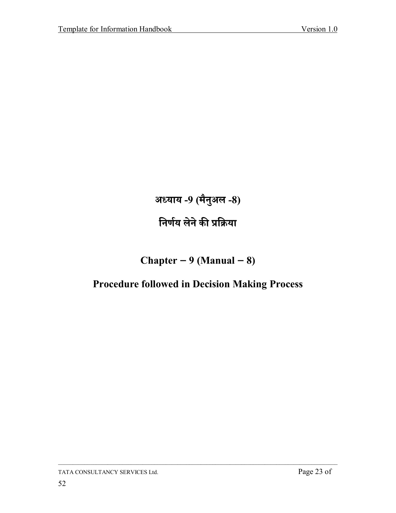अध्याय -9 (मैनुअल -8) निर्णय लेने की प्रक्रिया

### Chapter  $-9$  (Manual  $-8$ )

### **Procedure followed in Decision Making Process**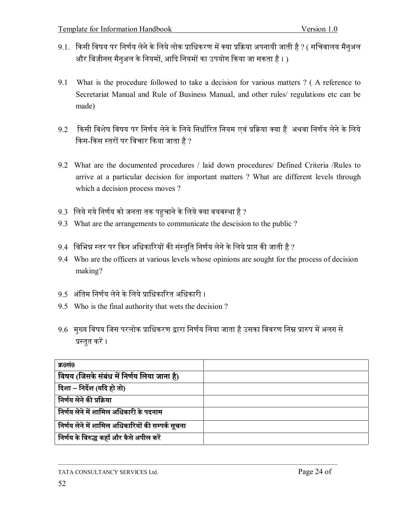- 9.1. किसी विषय पर निर्णय लेने के लिये लोक प्राधिकरण में क्या प्रक्रिया अपनायी जाती है ? ( सचिवालय मैनुअल और बिजीनस मैनुअल के नियमों, आदि नियमों का उपयोग किया जा सकता है । )
- 9.1 What is the procedure followed to take a decision for various matters ? ( A reference to Secretariat Manual and Rule of Business Manual, and other rules/ regulations etc can be made)
- $9.2$   $\,$  किसी विशेष विषय पर निर्णय लेने के लिये निर्धारित नियम एवं प्रक्रिया क्या हैं अथवा निर्णय लेने के लिये किस-किस स्तरों पर विचार किया जाता है ?
- 9.2 What are the documented procedures / laid down procedures/ Defined Criteria /Rules to arrive at a particular decision for important matters ? What are different levels through which a decision process moves ?
- 9.3 लिये गये निर्णय को जनता तक पहुचाने के लिये क्या वयवस्था है ?
- 9.3 What are the arrangements to communicate the descision to the public ?
- 9.4 विभिन्न स्तर पर किन अधिकारियों की संस्तुति निर्णय लेने के लिये प्राप्त की जाती है ?
- 9.4 Who are the officers at various levels whose opinions are sought for the process of decision making?
- 9.5 अंतिम निर्णय लेने के लिये प्राधिकारित अधिकारी ।
- 9.5 Who is the final authority that wets the decision ?
- 9.6 मुख्य विषय जिस परलोक प्राधिकरण द्वारा निर्णय लिया जाता है उसका विवरण निम्न प्रारुप में अलग से प्रस्तुत करें ।

| क्र0सं0                                           |  |
|---------------------------------------------------|--|
| विषय (जिसके संबंध में निर्णय लिया जाना है)        |  |
| दिशा – निर्देश (यदि हो तो)                        |  |
| निर्णय लेने की प्रक्रिया                          |  |
| निर्णय लेने में शामिल अधिकारी के पदनाम            |  |
| निर्णय लेने में शामिल अधिकारियों की सम्पर्क सूचना |  |
| निर्णय के विरुद्ध कहाँ और कैसे अपील करें          |  |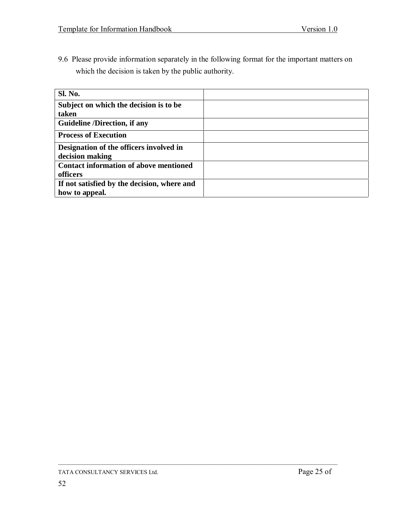9.6 Please provide information separately in the following format for the important matters on which the decision is taken by the public authority.

| <b>Sl. No.</b>                                |  |
|-----------------------------------------------|--|
| Subject on which the decision is to be        |  |
| taken                                         |  |
| <b>Guideline /Direction, if any</b>           |  |
| <b>Process of Execution</b>                   |  |
| Designation of the officers involved in       |  |
| decision making                               |  |
| <b>Contact information of above mentioned</b> |  |
| officers                                      |  |
| If not satisfied by the decision, where and   |  |
| how to appeal.                                |  |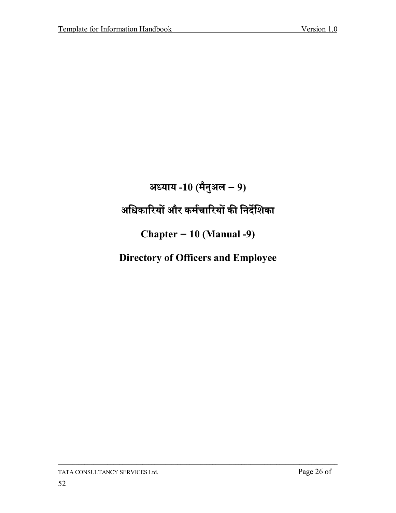# अध्याय -10 (मैनुअल – 9) अधिकारियों और कर्मचारियों की निर्देशिका Chapter  $-10$  (Manual -9) **Directory of Officers and Employee**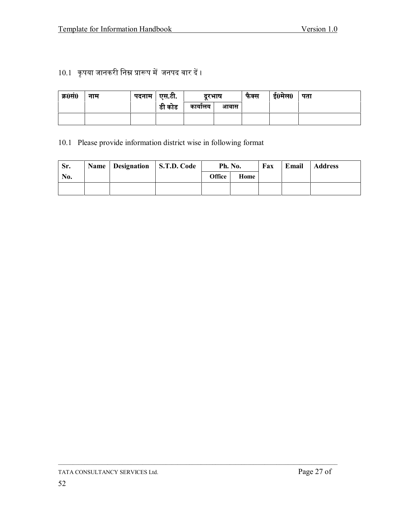### 10.1 कृपया जानकरी निम्न प्रारूप में जनपद वार दें ।

| क्र0सं0 | नाम | पदनाम   एस.टी. |        | दरभाष  |      | फक्स | ई0मेल0 | पता |
|---------|-----|----------------|--------|--------|------|------|--------|-----|
|         |     |                | डी कोड | कायालय | आवास |      |        |     |
|         |     |                |        |        |      |      |        |     |

10.1 Please provide information district wise in following format

| Sr. | Name   Designation   S.T.D. Code | Ph. No.       |      | Fax | Email | <b>Address</b> |
|-----|----------------------------------|---------------|------|-----|-------|----------------|
| No. |                                  | <b>Office</b> | Home |     |       |                |
|     |                                  |               |      |     |       |                |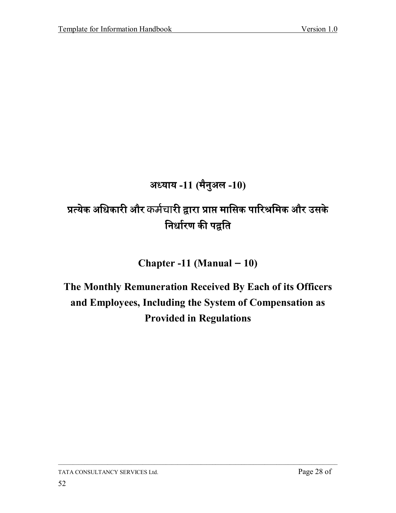### अध्याय -11 (मैनुअल -10)

# प्रत्येक अधिकारी और कर्मचारी द्वारा प्राप्त मासिक पारिश्रमिक और उसके निर्धारण की पद्वति

Chapter -11 (Manual  $-10$ )

# The Monthly Remuneration Received By Each of its Officers and Employees, Including the System of Compensation as **Provided in Regulations**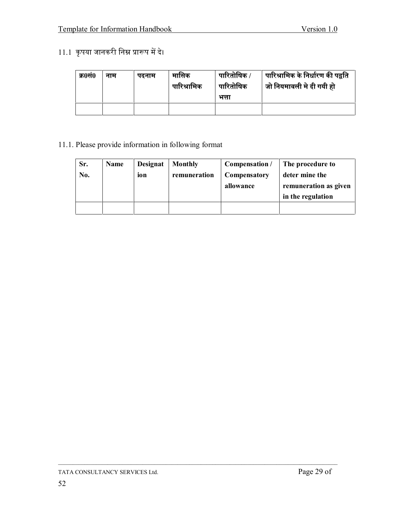#### 11.1 कृपया जानकरी निम्न प्रारूप में दे।

| क्र0सं0 | नाम | पढनाम | मासिक<br>पारिश्रामिक | पारितोषिक /<br>पारितोषिक<br>भत्ता | पारिश्रामिक के निर्धारण की पद्वति<br>जो नियमावली मे दी गयी हो |
|---------|-----|-------|----------------------|-----------------------------------|---------------------------------------------------------------|
|         |     |       |                      |                                   |                                                               |

#### 11.1. Please provide information in following format

| Sr.<br>No. | <b>Name</b> | <b>Designat</b><br>ion | <b>Monthly</b><br>remuneration | Compensation /<br><b>Compensatory</b><br>allowance | The procedure to<br>deter mine the<br>remuneration as given<br>in the regulation |
|------------|-------------|------------------------|--------------------------------|----------------------------------------------------|----------------------------------------------------------------------------------|
|            |             |                        |                                |                                                    |                                                                                  |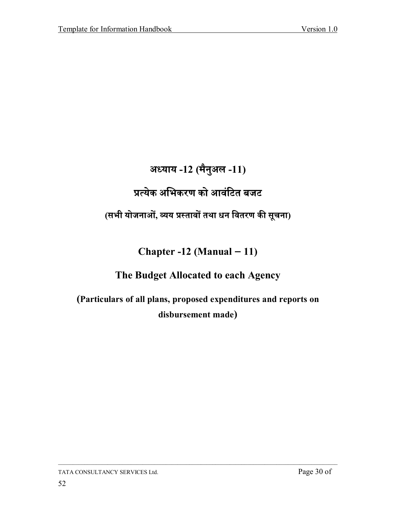### अध्याय -12 (मैनुअल -11)

# प्रत्येक अभिकरण को आवंटित बजट

### (सभी योजनाओं, व्यय प्रस्तावों तथा धन वितरण की सूचना)

### Chapter -12 (Manual  $-11$ )

### The Budget Allocated to each Agency

(Particulars of all plans, proposed expenditures and reports on disbursement made)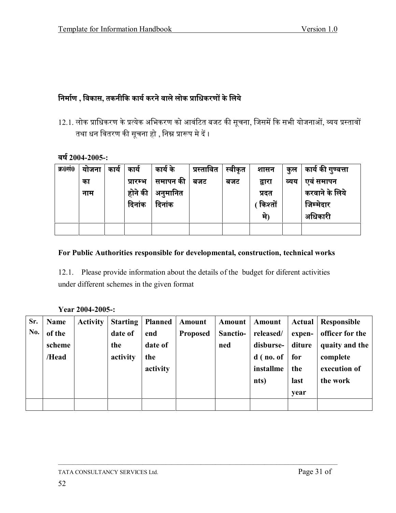#### निर्माण , विकास, तकनीकि कार्य करने वाले लोक प्राधिकरणों के लिये

12.1. लोक प्राधिकरण के प्रत्येक अभिकरण को आवंटित बजट की सूचना, जिसमें कि सभी योजनाओं, व्यय प्रस्तावों तथा धन वितरण की सूचना हो , निम्न प्रारूप मे दें ।

#### वर्ष 2004-2005-:

| क्र0सं0 | याजना | काय | काय      | कार्य के | प्रस्तावित | स्वीकृत | शासन    | कुल  | कार्य की गुण्वत्ता |
|---------|-------|-----|----------|----------|------------|---------|---------|------|--------------------|
|         | का    |     | प्रारम्भ | समापन की | बजट        | बजट     | द्वारा  | व्यय | एवं समापन          |
|         | नाम   |     | होने की  | अनुमानित |            |         | प्रदत   |      | करवाने के लिये     |
|         |       |     | दिनांक   | दिनांक   |            |         | किश्तों |      | जिम्मेदार          |
|         |       |     |          |          |            |         | म)      |      | अधिकारी            |
|         |       |     |          |          |            |         |         |      |                    |

#### For Public Authorities responsible for developmental, construction, technical works

12.1. Please provide information about the details of the budget for diferent activities under different schemes in the given format

#### Year 2004-2005-:

| Sr. | <b>Name</b> | <b>Activity</b> | Starting | <b>Planned</b> | Amount          | Amount   | Amount      | Actual | Responsible     |
|-----|-------------|-----------------|----------|----------------|-----------------|----------|-------------|--------|-----------------|
| No. | of the      |                 | date of  | end            | <b>Proposed</b> | Sanctio- | released/   | expen- | officer for the |
|     | scheme      |                 | the      | date of        |                 | ned      | disburse-   | diture | quaity and the  |
|     | /Head       |                 | activity | the            |                 |          | $d$ (no. of | for    | complete        |
|     |             |                 |          | activity       |                 |          | installme   | the    | execution of    |
|     |             |                 |          |                |                 |          | nts)        | last   | the work        |
|     |             |                 |          |                |                 |          |             | year   |                 |
|     |             |                 |          |                |                 |          |             |        |                 |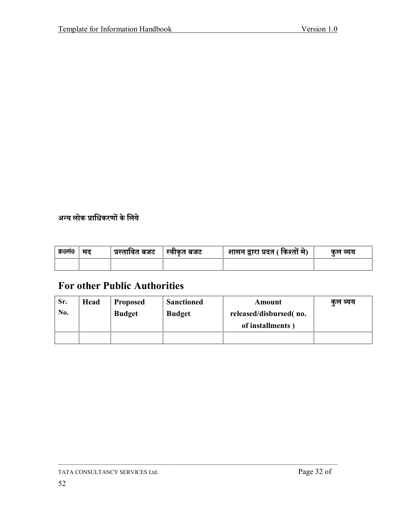अन्य लोक प्राधिकरणों के लिये

| क्र0सं0 | मद | प्रस्तावित बजट │ | स्वीकृत बजट | शासन द्वारा प्रदत ( किश्तों मे) | कुल व्यय |
|---------|----|------------------|-------------|---------------------------------|----------|
|         |    |                  |             |                                 |          |

### **For other Public Authorities**

| Sr. | Head | <b>Proposed</b> | <b>Sanctioned</b> | Amount                 | कुल व्यय |
|-----|------|-----------------|-------------------|------------------------|----------|
| No. |      | <b>Budget</b>   | <b>Budget</b>     | released/disbursed(no. |          |
|     |      |                 |                   | of installments)       |          |
|     |      |                 |                   |                        |          |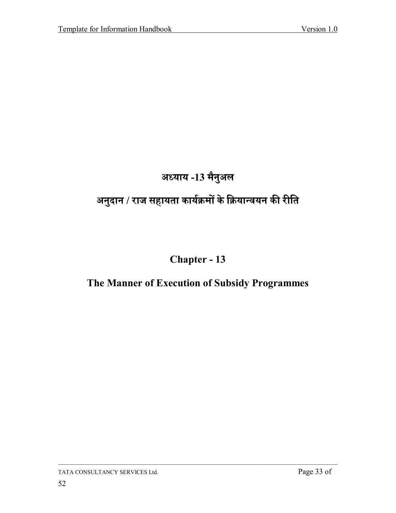# अध्याय -13 मैनुअल

# अनुदान / राज सहायता कार्यक्रमों के क्रियान्वयन की रीति

### Chapter - 13

### The Manner of Execution of Subsidy Programmes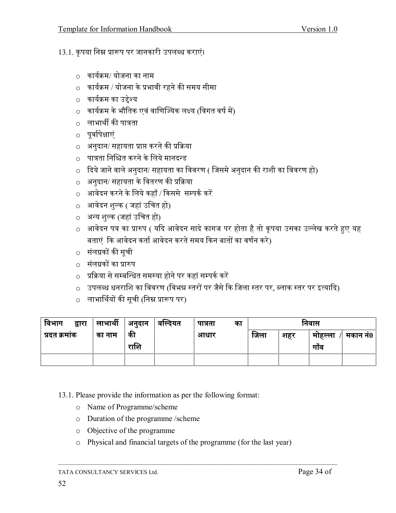- 13.1. कृपया निम्न प्रारूप पर जानकारी उपलब्ध कराएं।
	- $\circ$  कार्यक्रम/ योजना का नाम
	- $\circ$  कार्यक्रम / योजना के प्रभावी रहने की समय सीमा
	- $\,$ ०  $\,$  कार्यक्रम का उद्देश्य
	- $\circ$  कार्यक्रम के भौतिक एवं वाणिज्यिक लक्ष्य (विगत वर्ष में)
	- $\,$ े लाभार्थी की पात्रता
	- o पूर्वापेक्षाएं
	- $\circ$  अनुदान/ सहायता प्राप्त करने की प्रक्रिया
	- $\circ$  पात्रता निश्चित करने के लिये मानदन्ड
	- $\,\circ\,\,$  दिये जाने वाले अनुदान/ सहायता का विवरण ( जिसमे अनुदान की राशी का विवरण हो)
	- $\circ$  अनुदान/ सहायता के वितरण की प्रक्रिया
	- $\circ$  आवेदन करने के लिये कहाँ / किससे सम्पर्क करें
	- o आवेदन शल्क ( जहां उचित हो)
	- o अन्य शुल्क (जहां उचित हो)
	- $\,\circ\,$  आवेदन पत्र का प्रारुप ( यदि आवेदन सादे कागज पर होता है तो कृपया उसका उल्लेख करते हुए यह बताएं कि आवेदन कर्ता आवेदन करते समय किन बातों का वर्णन करे)
	- o संलग्नकों की सूची
	- o संलग्नकों का प्रारुप
	- $\circ$  प्रक्रिया से सम्बन्धित समस्या होने पर कहां सम्पर्क करें
	- o उपलब्ध धनराशि का विवरण (विभन्न स्तरों पर जैसे कि जिला स्तर पर, ब्लाक स्तर पर इत्यादि)
	- o लाभार्थियों की सूची (निम्न प्रारूप पर)

| विभाग        | द्वारा | लाभार्थी | अनुदान | वल्दियत | पात्रता | का | ानवास |     |           |          |
|--------------|--------|----------|--------|---------|---------|----|-------|-----|-----------|----------|
| प्रदत क्रमाक |        | का नाम   | की     |         | आधार    |    | जिला  | शहर | माहल्ला   | मकान नं0 |
|              |        |          | राशि   |         |         |    |       |     | v<br>गांव |          |
|              |        |          |        |         |         |    |       |     |           |          |

- 13.1. Please provide the information as per the following format:
	- o Name of Programme/scheme
	- o Duration of the programme /scheme
	- o Objective of the programme
	- o Physical and financial targets of the programme (for the last year)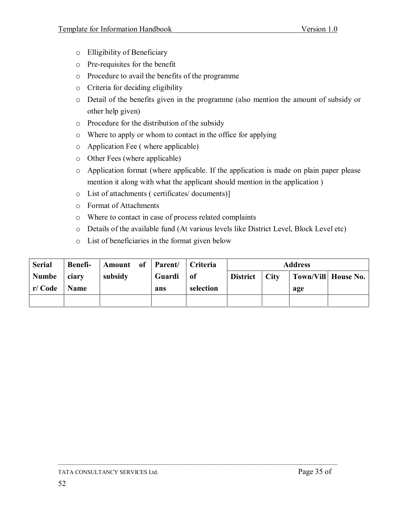- o Elligibility of Beneficiary
- o Pre-requisites for the benefit
- o Procedure to avail the benefits of the programme
- o Criteria for deciding eligibility
- o Detail of the benefits given in the programme (also mention the amount of subsidy or other help given)
- o Procedure for the distribution of the subsidy
- o Where to apply or whom to contact in the office for applying
- o Application Fee ( where applicable)
- o Other Fees (where applicable)
- o Application format (where applicable. If the application is made on plain paper please mention it along with what the applicant should mention in the application )
- o List of attachments ( certificates/ documents)]
- o Format of Attachments
- o Where to contact in case of process related complaints
- o Details of the available fund (At various levels like District Level, Block Level etc)
- o List of beneficiaries in the format given below

| <b>Serial</b> | <b>Benefi-</b> | Amount of Parent/ Criteria |        |           | <b>Address</b>  |  |     |                      |
|---------------|----------------|----------------------------|--------|-----------|-----------------|--|-----|----------------------|
| Numbe         | ciary          | subsidy                    | Guardi | of        | District   City |  |     | Town/Vill  House No. |
| r/ Code       | <b>Name</b>    |                            | ans    | selection |                 |  | age |                      |
|               |                |                            |        |           |                 |  |     |                      |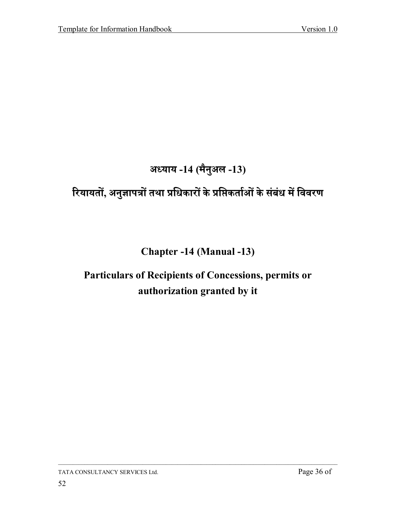# अध्याय -14 (मैनुअल -13)

# रियायतों, अनुज्ञापत्रों तथा प्रधिकारों के प्रप्तिकर्ताओं के संबंध में विवरण

### **Chapter -14 (Manual -13)**

# Particulars of Recipients of Concessions, permits or authorization granted by it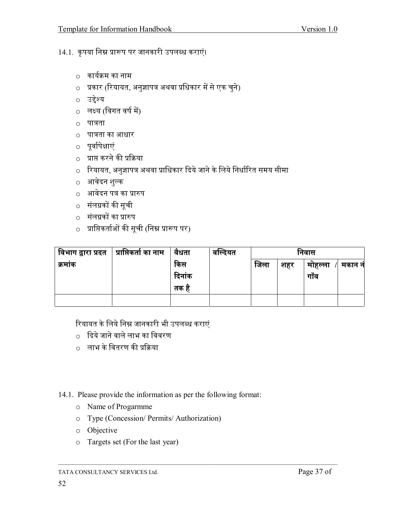14.1. कृपया निम्न प्रारूप पर जानकारी उपलब्ध कराएं।

- कार्यक्रम का नाम
- o प्रकार (रियायत, अनुज्ञापत्र अथवा प्रधिकार में से एक चुने)
- ० उद्देश्य
- ० लक्ष्य (विगत वर्ष में)
- ० पात्रता
- पात्रता का आधार
- ० पूर्वापेक्षाएं
- o प्राप्त करने की प्रक्रिया
- o रियायत, अनुज्ञापत्र अथवा प्राधिकार दिये जाने के लिये निर्धारित समय सीमा
- आवेदन शुल्क
- <u>ं</u> आवेदन पत्र का प्रारुप
- संलग्नकों की सूची
- o संलग्नकों का प्रारुप
- o प्राप्तिकर्ताओं की सूची (निम्न प्रारूप पर)

| , विभाग द्वारा प्रदत | <sub>।</sub> प्राप्तिकर्ता का नाम | वैधता  | वाल्दयत | ानवास |     |         |        |
|----------------------|-----------------------------------|--------|---------|-------|-----|---------|--------|
| क्रमाक               |                                   | किस    |         | ाजला  | शहर | माहल्ला | मकान न |
|                      |                                   | दिनांक |         |       |     | गाँव    |        |
|                      |                                   | तक ह   |         |       |     |         |        |
|                      |                                   |        |         |       |     |         |        |

रियायत के लिये निम्न जानकारी भी उपलब्ध कराएं

- $\circ$  दिये जाने वाले लाभ का विवरण
- ़ लाभ के वितरण की प्रक्रिया

#### 14.1. Please provide the information as per the following format:

- o Name of Progarmme
- o Type (Concession/Permits/Authorization)
- o Objective
- o Targets set (For the last year)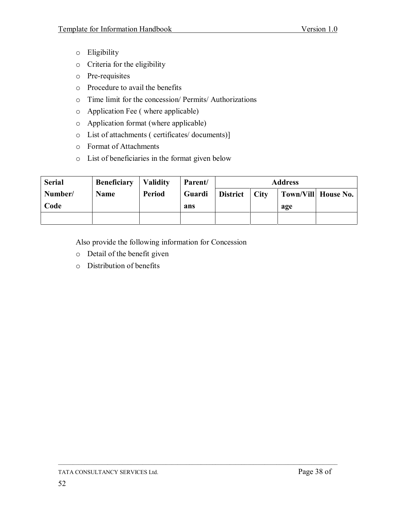- o Eligibility
- o Criteria for the eligibility
- o Pre-requisites
- o Procedure to avail the benefits
- o Time limit for the concession/ Permits/ Authorizations
- o Application Fee ( where applicable)
- o Application format (where applicable)
- o List of attachments ( certificates/ documents)]
- o Format of Attachments
- o List of beneficiaries in the format given below

| <b>Serial</b> | <b>Beneficiary</b> | <b>Validity</b> | Parent/ | <b>Address</b>  |              |     |                     |
|---------------|--------------------|-----------------|---------|-----------------|--------------|-----|---------------------|
| Number/       | <b>Name</b>        | <b>Period</b>   | Guardi  | <b>District</b> | $\vert$ City |     | Town/Vill House No. |
| Code          |                    |                 | ans     |                 |              | age |                     |
|               |                    |                 |         |                 |              |     |                     |

 $\overline{\phantom{a}}$  , and the contribution of the contribution of the contribution of the contribution of the contribution of the contribution of the contribution of the contribution of the contribution of the contribution of the

Also provide the following information for Concession

- o Detail of the benefit given
- o Distribution of benefits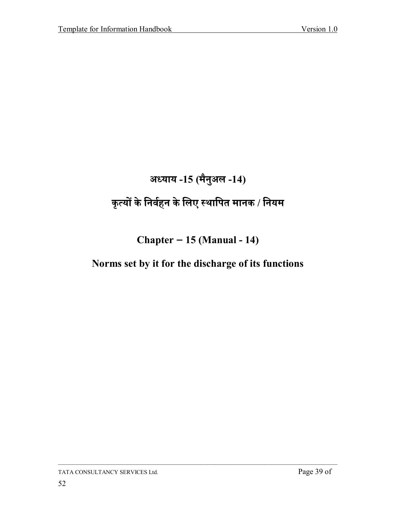# अध्याय -15 (मैनुअल -14)

# कृत्यों के निर्वहन के लिए स्थापित मानक / नियम

### Chapter  $-15$  (Manual - 14)

### Norms set by it for the discharge of its functions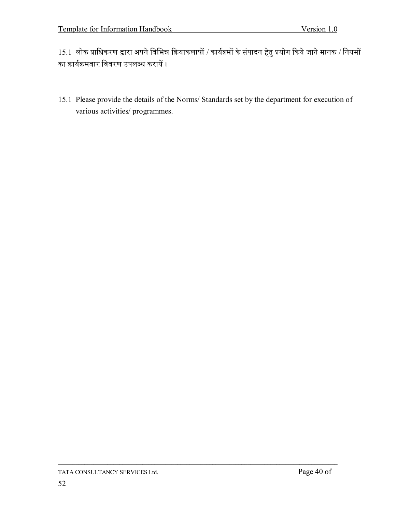$15.1$  लोक प्राधिकरण द्वारा अपने विभिन्न क्रियाकलापों / कार्यक्र्मों के संपादन हेतु प्रयोग किये जाने मानक / नियमों का क्रार्यक्रमवार विवरण उपलब्ध करायें ।

15.1 Please provide the details of the Norms/ Standards set by the department for execution of various activities/ programmes.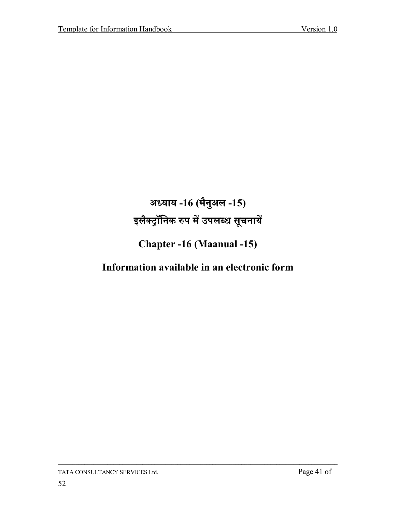# अध्याय -16 (मैनुअल -15) इलैक्ट्राँनिक रुप में उपलब्ध सूचनायें

### **Chapter -16 (Maanual -15)**

### Information available in an electronic form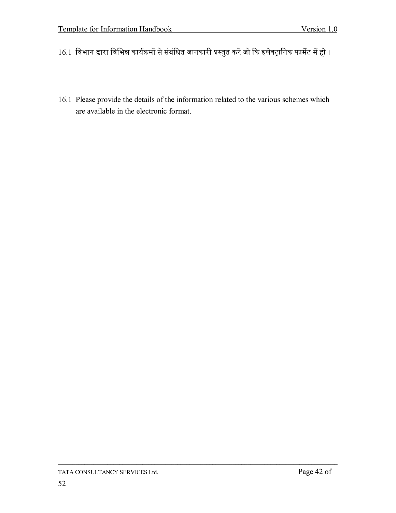- 16.1 विभाग द्वारा विभिन्न कार्यक्रमों से संबंधित जानकारी प्रस्तुत करें जो कि इलेक्ट्रानिक फार्मेट में हो ।
- 16.1 Please provide the details of the information related to the various schemes which are available in the electronic format.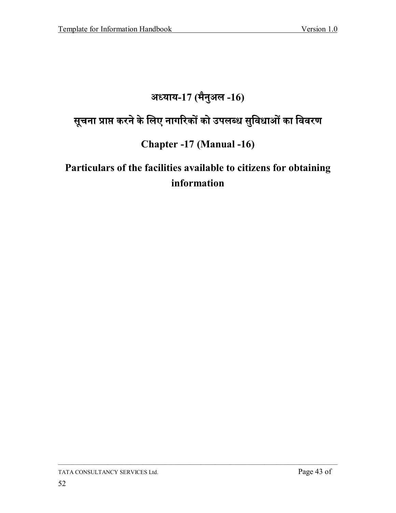# अध्याय-17 (मैनुअल -16)

# सूचना प्राप्त करने के लिए नागरिकों को उपलब्ध सुविधाओं का विवरण

#### **Chapter -17 (Manual -16)**

# Particulars of the facilities available to citizens for obtaining information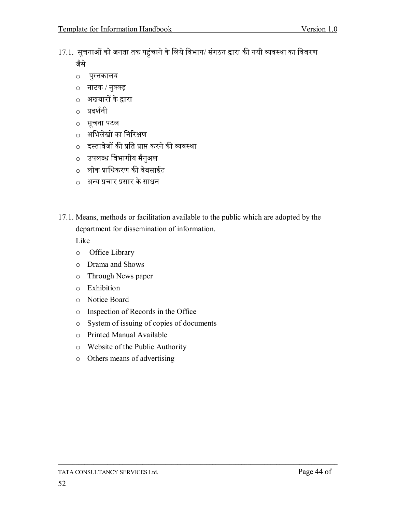- 17.1. सूचनाओं को जनता तक पहुंचाने के लिये विभाग/ संगठन द्वारा की गयी व्यवस्था का विवरण जैसे
	- पुस्तकालय  $\circ$
	- नाटक / नुक्क्ड़
	- अखबारों के द्वारा
	- प्रदर्शनी
	- सूचना पटल
	- अभिलेखों का निरिक्षण
	- <u>़</u> दस्तावेजों की प्रति प्राप्त करने की व्यवस्था
	- उपलब्ध विभागीय मैनुअल
	- o लोक प्राधिकरण की वेबसाईट
	- o अन्य प्रचार प्रसार के साधन
- 17.1. Means, methods or facilitation available to the public which are adopted by the department for dissemination of information.

Like

- Office Library  $\circ$
- Drama and Shows  $\circ$
- Through News paper  $\circ$
- o Exhibition
- o Notice Board
- Inspection of Records in the Office  $\circ$
- System of issuing of copies of documents  $\circ$
- o Printed Manual Available
- o Website of the Public Authority
- o Others means of advertising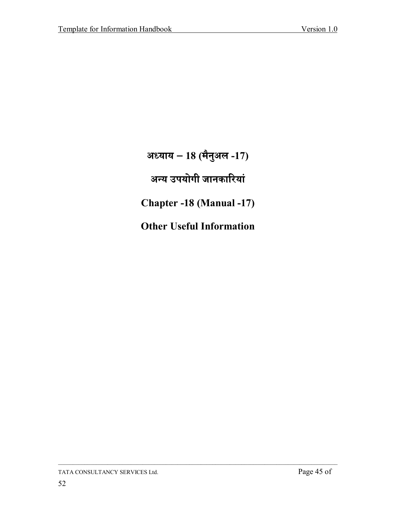अध्याय - 18 (मैनुअल -17) अन्य उपयोगी जानकारियां Chapter -18 (Manual -17)

**Other Useful Information**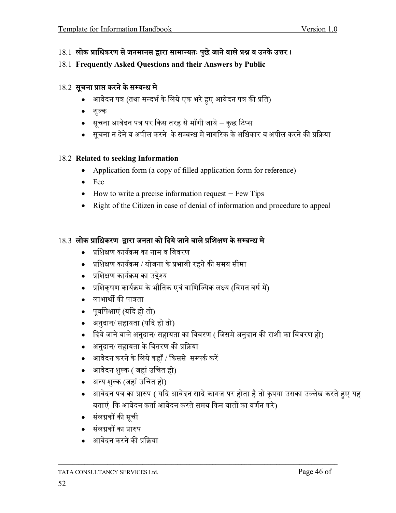- 18.1 लोक प्राधिकरण से जनमानस द्वारा सामान्यतः पुछे जाने वाले प्रश्न व उनके उत्तर ।
- 18.1 **Frequently Asked Questions and their Answers by Public**

#### 18.2 सूचना प्राप्त करने के सम्बन्ध मे

- आवेदन पत्र (तथा सन्दर्भ के लिये एक भरे हुए आवेदन पत्र की प्रति)
- $\bullet$  शल्क
- सूचना आवेदन पत्र पर किस तरह से माँगी जाये कुछ टिप्स
- सूचना न देने व अपील करने के सम्बन्ध मे नागरिक के अधिकार व अपील करने की प्रक्रिया

#### 18.2 **Related to seeking Information**

- Application form (a copy of filled application form for reference)
- Fee
- $\bullet$  How to write a precise information request Few Tips
- Right of the Citizen in case of denial of information and procedure to appeal

#### $18.3$  लोक प्राधिकरण द्रारा जनता को दिये जाने वाले प्रशिक्षण के सम्बन्ध मे

- $\bullet$  प्रशिक्षण कार्यक्रम का नाम व विवरण
- प्रशिक्षण कार्यक्रम / योजना के प्रभावी रहने की समय सीमा
- प्रशिक्षण कार्यक्रम का उद्देश्य
- प्रशिकुषण कार्यक्रम के भौतिक एवं वाणिज्यिक लक्ष्य (विगत वर्ष में)
- लाभार्थी की पात्रता
- पूर्वापेक्षाएं (यदि हो तो)
- अनुदान/ सहायता (यदि हो तो)
- दिये जाने वाले अनुदान/ सहायता का विवरण ( जिसमे अनुदान की राशी का विवरण हो)

- अनदान/ सहायता के वितरण की प्रक्रिया
- आवेदन करने के लिये कहाँ / किससे सम्पर्क करें
- आवेदन शुल्क ( जहां उचित हो)
- अन्य शुल्क (जहां उचित हो)
- अावेदन पत्र का प्रारुप ( यदि आवेदन सादे कागज पर होता है तो कृपया उसका उल्लेख करते हुए यह बताएं कि आवेदन कर्ता आवेदन करते समय किन बातों का वर्णन करे)
- संलग्नकों की सची
- संलग्नकों का प्रारुप
- अावेदन करने की प्रक्रिया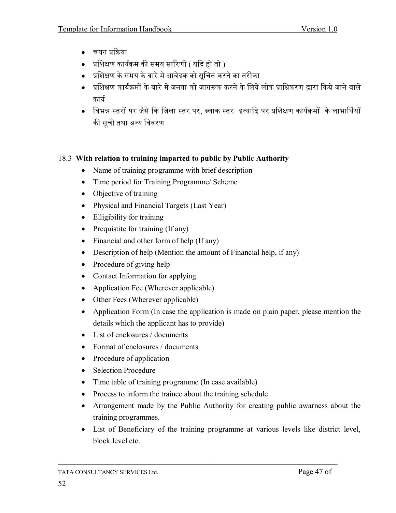- वयन प्रक्रिया
- प्रशिक्षण कार्यक्रम की समय सारिणी ( यदि हो तो )
- प्रशिक्षण के समय के बारे मे आवेदक को सचित करने का तरीका
- प्रशिक्षण कार्यक्रमों के बारे मे जनता को जागरूक करने के लिये लोक प्राधिकरण द्वारा किये जाने वाले कार्य
- विभन्न स्तरों पर जैसे कि जिला स्तर पर. ब्लाक स्तर इत्यादि पर प्रशिक्षण कार्यक्रमों के लाभार्थियों की सूची तथा अन्य विवरण

#### 18.3 With relation to training imparted to public by Public Authority

- Name of training programme with brief description
- Time period for Training Programme/ Scheme
- Objective of training
- Physical and Financial Targets (Last Year)
- Elligibility for training
- Prequistite for training  $(If any)$
- $\bullet$  Financial and other form of help (If any)
- Description of help (Mention the amount of Financial help, if any)
- Procedure of giving help
- Contact Information for applying
- Application Fee (Wherever applicable)
- Other Fees (Wherever applicable)
- Application Form (In case the application is made on plain paper, please mention the details which the applicant has to provide)
- $\bullet$  List of enclosures / documents
- Format of enclosures  $/$  documents
- Procedure of application
- Selection Procedure
- Time table of training programme (In case available)
- Process to inform the trainee about the training schedule
- Arrangement made by the Public Authority for creating public awarness about the training programmes.
- List of Beneficiary of the training programme at various levels like district level, block level etc.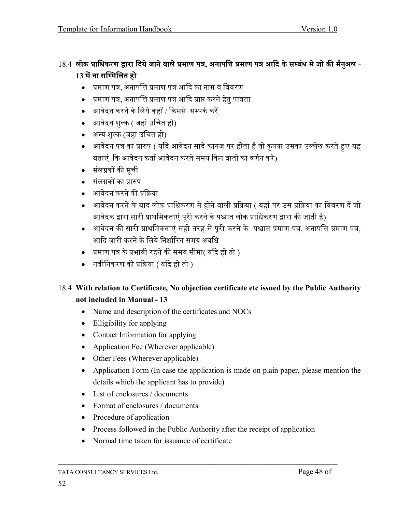#### 18.4 लोक प्राधिकरण द्वारा दिये जाने वाले प्रमाण पत्र, अनापत्ति प्रमाण पत्र आदि के सम्बंध मे जो की मैनुअल -13 में ना सम्मिलित हो

- प्रमाण पत्र, अनापत्ति प्रमाण पत्र आदि का नाम व विवरण
- प्रमाण पत्र, अनापत्ति प्रमाण पत्र आदि प्राप्त करने हेतु पात्रता
- आवेदन करने के लिये कहाँ / किससे सम्पर्क करें
- आवेदन शुल्क ( जहां उचित हो)
- अन्य शुल्क (जहां उचित हो)
- अावेदन पत्र का प्रारुप ( यदि आवेदन सादे कागज पर होता है तो कृपया उसका उल्लेख करते हुए यह बताएं कि आवेदन कर्ता आवेदन करते समय किन बातों का वर्णन करे)
- संलग्नकों की सूची
- संलग्नकों का प्रारुप
- अावेदन करने की प्रक्रिया
- आवेदन करने के बाद लोक प्राधिकरण मे होने वाली प्रक्रिया ( यहां पर उस प्रक्रिया का विवरण दें जो आवेदक द्वारा सारी प्राथमिकताएं पुरी करने के पश्चात लोक प्राधिकरण द्वारा की जाती है)
- अावेदन की सारी प्राथमिकताएं सही तरह से परी करने के पश्चात प्रमाण पत्र, अनापत्ति प्रमाण पत्र, आदि जारी करने के लिये निर्धारित समय अवधि
- प्रमाण पत्र के प्रभावी रहने की समय सीमा( यदि हो तो )
- नवीनिकरण की प्रक्रिया ( यदि हो तो )

#### 18.4 With relation to Certificate, No objection certificate etc issued by the Public Authority not included in Manual - 13

- Name and description of the certificates and NOCs
- $\bullet$  Elligibility for applying
- Contact Information for applying
- Application Fee (Wherever applicable)
- Other Fees (Wherever applicable)
- Application Form (In case the application is made on plain paper, please mention the details which the applicant has to provide)
- $\bullet$  List of enclosures / documents
- Format of enclosures  $\prime$  documents
- Procedure of application
- Process followed in the Public Authority after the receipt of application
- Normal time taken for issuance of certificate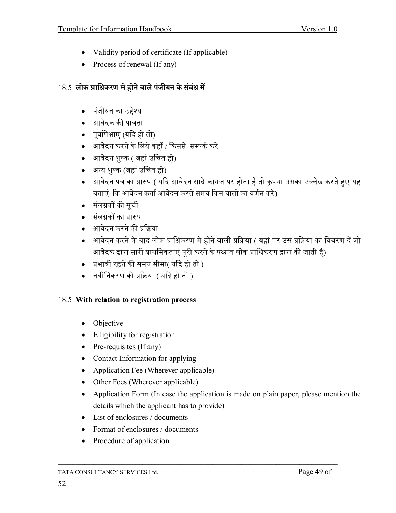- Validity period of certificate (If applicable)
- Process of renewal (If any)

#### 18.5 लोक प्राधिकरण मे होने वाले पंजीयन के संबंध में

- पंजीयन का उद्देश्य
- आवेदक की पात्रता
- पूर्वापेक्षाएं (यदि हो तो)
- अावेदन करने के लिये कहाँ / किससे सम्पर्क करें
- आवेदन शल्क ( जहां उचित हो)
- अन्य शुल्क (जहां उचित हो)
- अावेदन पत्र का प्रारुप ( यदि आवेदन सादे कागज पर होता है तो कृपया उसका उल्लेख करते हुए यह बताएं कि आवेदन कर्ता आवेदन करते समय किन बातों का वर्णन करे)
- संलग्नकों की सूची
- संलग्रकों का प्रारुप
- अावेदन करने की प्रक्रिया
- आवेदन करने के बाद लोक प्राधिकरण मे होने वाली प्रक्रिया ( यहां पर उस प्रक्रिया का विवरण दें जो आवेदक द्वारा सारी प्राथमिकताएं पूरी करने के पश्चात लोक प्राधिकरण द्वारा की जाती है)
- प्रभावी रहने की समय सीमा( यदि हो तो )
- नवीनिकरण की प्रक्रिया ( यदि हो तो )

#### 18.5 With relation to registration process

- Objective
- Elligibility for registration
- $\bullet$  Pre-requisites (If any)
- Contact Information for applying
- Application Fee (Wherever applicable)
- Other Fees (Wherever applicable)
- Application Form (In case the application is made on plain paper, please mention the details which the applicant has to provide)
- $\bullet$  List of enclosures / documents
- Format of enclosures  $/$  documents
- Procedure of application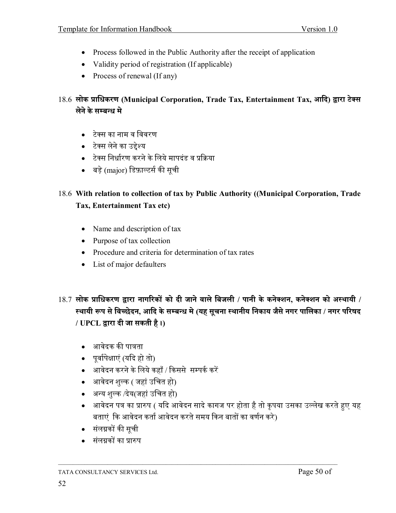- Process followed in the Public Authority after the receipt of application
- Validity period of registration (If applicable)
- Process of renewal (If any)

#### 18.6 लोक प्राधिकरण (Municipal Corporation, Trade Tax, Entertainment Tax, आदि) द्वारा टेक्स लेने के सम्बन्ध मे

- टेक्स का नाम व विवरण
- टेक्स लेने का उद्देश्य
- टेक्स निर्धारण करने के लिये मापदंड व प्रक्रिया
- बड़े (major) डिफ़ाल्टर्स की सूची

#### 18.6 With relation to collection of tax by Public Authority ((Municipal Corporation, Trade Tax, Entertainment Tax etc)

- Name and description of tax
- Purpose of tax collection
- Procedure and criteria for determination of tax rates
- List of major defaulters
- $18.7$  लोक प्राधिकरण द्वारा नागरिकों को दी जाने वाले बिजली / पानी के कनेक्शन, कनेक्शन को अस्थायी / स्थायी रूप से विच्छेदन, आदि के सम्बन्ध मे (यह सुचना स्थानीय निकाय जैसे नगर पालिका / नगर परिषद / UPCL द्वारा दी जा सकती है।)
	- आवेदक की पात्रता
	- पुर्वापेक्षाएं (यदि हो तो)
	- अावेदन करने के लिये कहाँ / किससे सम्पर्क करें
	- आवेदन शुल्क ( जहां उचित हो)
	- अन्य शुल्क /देय(जहां उचित हो)
	- अावेदन पत्र का प्रारुप ( यदि आवेदन सादे कागज पर होता है तो कृपया उसका उल्लेख करते हुए यह बताएं कि आवेदन कर्ता आवेदन करते समय किन बातों का वर्णन करे)
	- संलग्नकों की सूची
	- संलग्नकों का प्रारुप